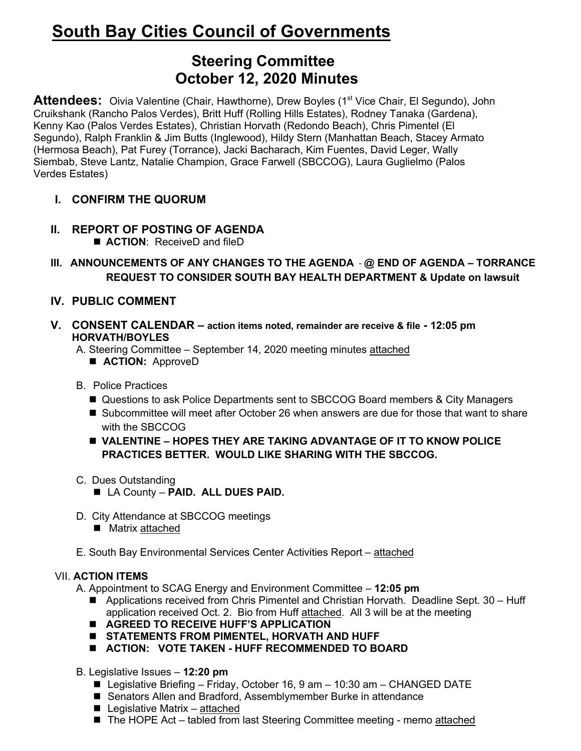# **South Bay Cities Council of Governments**

# **Steering Committee October 12, 2020 Minutes**

**Attendees:** Oivia Valentine (Chair, Hawthorne), Drew Boyles (1<sup>st</sup> Vice Chair, El Segundo), John Cruikshank (Rancho Palos Verdes), Britt Huff (Rolling Hills Estates), Rodney Tanaka (Gardena), Kenny Kao (Palos Verdes Estates), Christian Horvath (Redondo Beach), Chris Pimentel (El Segundo), Ralph Franklin & Jim Butts (Inglewood), Hildy Stern (Manhattan Beach, Stacey Armato (Hermosa Beach), Pat Furey (Torrance), Jacki Bacharach, Kim Fuentes, David Leger, Wally Siembab, Steve Lantz, Natalie Champion, Grace Farwell (SBCCOG), Laura Guglielmo (Palos Verdes Estates)

- **I. CONFIRM THE QUORUM**
- **II. REPORT OF POSTING OF AGENDA** ■ **ACTION:** ReceiveD and fileD
- **III. ANNOUNCEMENTS OF ANY CHANGES TO THE AGENDA @ END OF AGENDA – TORRANCE REQUEST TO CONSIDER SOUTH BAY HEALTH DEPARTMENT & Update on lawsuit**
- **IV. PUBLIC COMMENT**
- **V. CONSENT CALENDAR – action items noted, remainder are receive & file - 12:05 pm HORVATH/BOYLES**
	- A. Steering Committee September 14, 2020 meeting minutes attached
		- $\blacksquare$  **ACTION:** ApproveD
	- B. Police Practices
		- Questions to ask Police Departments sent to SBCCOG Board members & City Managers
		- Subcommittee will meet after October 26 when answers are due for those that want to share with the SBCCOG
		- **N VALENTINE HOPES THEY ARE TAKING ADVANTAGE OF IT TO KNOW POLICE PRACTICES BETTER. WOULD LIKE SHARING WITH THE SBCCOG.**
	- C. Dues Outstanding
		- n LA County **PAID. ALL DUES PAID.**
	- D. City Attendance at SBCCOG meetings
		- $\blacksquare$  Matrix attached
	- E. South Bay Environmental Services Center Activities Report attached

## VII. **ACTION ITEMS**

A. Appointment to SCAG Energy and Environment Committee – **12:05 pm**

- $\blacksquare$  Applications received from Chris Pimentel and Christian Horvath. Deadline Sept. 30 Huff application received Oct. 2. Bio from Huff attached. All 3 will be at the meeting
- **E** AGREED TO RECEIVE HUFF'S APPLICATION
- STATEMENTS FROM PIMENTEL, HORVATH AND HUFF
- $\blacksquare$  ACTION: VOTE TAKEN HUFF RECOMMENDED TO BOARD
- B. Legislative Issues **12:20 pm**
	- $\blacksquare$  Legislative Briefing Friday, October 16, 9 am 10:30 am CHANGED DATE
	- Senators Allen and Bradford, Assemblymember Burke in attendance
	- $\blacksquare$  Legislative Matrix attached
	- The HOPE Act tabled from last Steering Committee meeting memo attached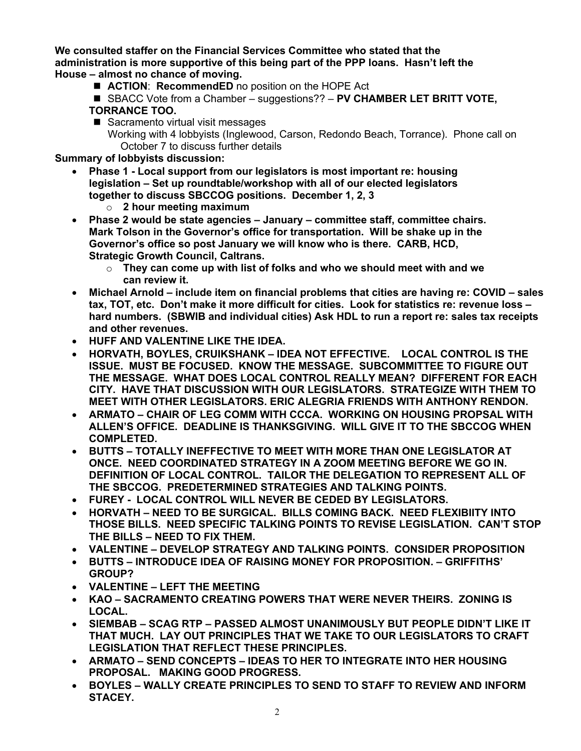**We consulted staffer on the Financial Services Committee who stated that the administration is more supportive of this being part of the PPP loans. Hasn't left the House – almost no chance of moving.**

- **ACTION: RecommendED** no position on the HOPE Act
- SBACC Vote from a Chamber suggestions?? **PV CHAMBER LET BRITT VOTE**, **TORRANCE TOO.**
- $\blacksquare$  Sacramento virtual visit messages Working with 4 lobbyists (Inglewood, Carson, Redondo Beach, Torrance). Phone call on October 7 to discuss further details

**Summary of lobbyists discussion:**

- **Phase 1 - Local support from our legislators is most important re: housing legislation – Set up roundtable/workshop with all of our elected legislators together to discuss SBCCOG positions. December 1, 2, 3**
	- o **2 hour meeting maximum**
- **Phase 2 would be state agencies – January – committee staff, committee chairs. Mark Tolson in the Governor's office for transportation. Will be shake up in the Governor's office so post January we will know who is there. CARB, HCD, Strategic Growth Council, Caltrans.**
	- o **They can come up with list of folks and who we should meet with and we can review it.**
- **Michael Arnold – include item on financial problems that cities are having re: COVID – sales tax, TOT, etc. Don't make it more difficult for cities. Look for statistics re: revenue loss – hard numbers. (SBWIB and individual cities) Ask HDL to run a report re: sales tax receipts and other revenues.**
- **HUFF AND VALENTINE LIKE THE IDEA.**
- **HORVATH, BOYLES, CRUIKSHANK – IDEA NOT EFFECTIVE. LOCAL CONTROL IS THE ISSUE. MUST BE FOCUSED. KNOW THE MESSAGE. SUBCOMMITTEE TO FIGURE OUT THE MESSAGE. WHAT DOES LOCAL CONTROL REALLY MEAN? DIFFERENT FOR EACH CITY. HAVE THAT DISCUSSION WITH OUR LEGISLATORS. STRATEGIZE WITH THEM TO MEET WITH OTHER LEGISLATORS. ERIC ALEGRIA FRIENDS WITH ANTHONY RENDON.**
- **ARMATO – CHAIR OF LEG COMM WITH CCCA. WORKING ON HOUSING PROPSAL WITH ALLEN'S OFFICE. DEADLINE IS THANKSGIVING. WILL GIVE IT TO THE SBCCOG WHEN COMPLETED.**
- **BUTTS – TOTALLY INEFFECTIVE TO MEET WITH MORE THAN ONE LEGISLATOR AT ONCE. NEED COORDINATED STRATEGY IN A ZOOM MEETING BEFORE WE GO IN. DEFINITION OF LOCAL CONTROL. TAILOR THE DELEGATION TO REPRESENT ALL OF THE SBCCOG. PREDETERMINED STRATEGIES AND TALKING POINTS.**
- **FUREY LOCAL CONTROL WILL NEVER BE CEDED BY LEGISLATORS.**
- **HORVATH – NEED TO BE SURGICAL. BILLS COMING BACK. NEED FLEXIBIITY INTO THOSE BILLS. NEED SPECIFIC TALKING POINTS TO REVISE LEGISLATION. CAN'T STOP THE BILLS – NEED TO FIX THEM.**
- **VALENTINE – DEVELOP STRATEGY AND TALKING POINTS. CONSIDER PROPOSITION**
- **BUTTS – INTRODUCE IDEA OF RAISING MONEY FOR PROPOSITION. – GRIFFITHS' GROUP?**
- **VALENTINE – LEFT THE MEETING**
- **KAO – SACRAMENTO CREATING POWERS THAT WERE NEVER THEIRS. ZONING IS LOCAL.**
- **SIEMBAB – SCAG RTP – PASSED ALMOST UNANIMOUSLY BUT PEOPLE DIDN'T LIKE IT THAT MUCH. LAY OUT PRINCIPLES THAT WE TAKE TO OUR LEGISLATORS TO CRAFT LEGISLATION THAT REFLECT THESE PRINCIPLES.**
- **ARMATO – SEND CONCEPTS – IDEAS TO HER TO INTEGRATE INTO HER HOUSING PROPOSAL. MAKING GOOD PROGRESS.**
- **BOYLES – WALLY CREATE PRINCIPLES TO SEND TO STAFF TO REVIEW AND INFORM STACEY.**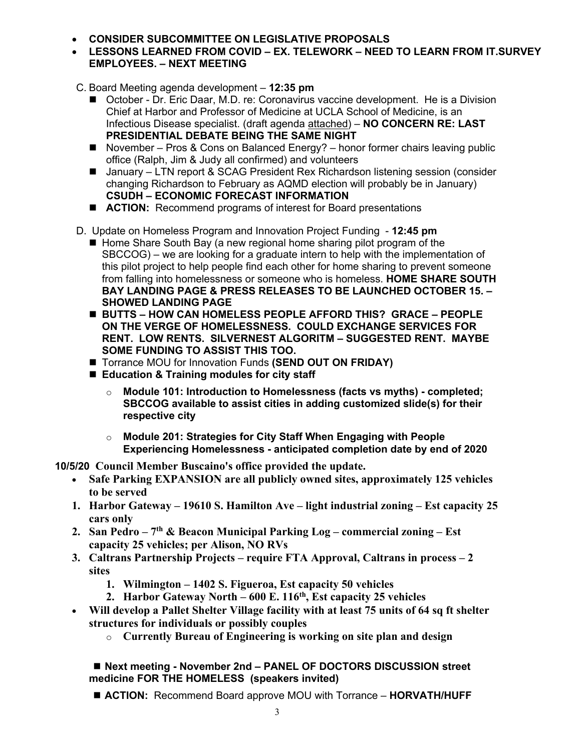- **CONSIDER SUBCOMMITTEE ON LEGISLATIVE PROPOSALS**
- **LESSONS LEARNED FROM COVID – EX. TELEWORK – NEED TO LEARN FROM IT.SURVEY EMPLOYEES. – NEXT MEETING**
- C. Board Meeting agenda development **12:35 pm**
	- October Dr. Eric Daar, M.D. re: Coronavirus vaccine development. He is a Division Chief at Harbor and Professor of Medicine at UCLA School of Medicine, is an Infectious Disease specialist. (draft agenda attached) – **NO CONCERN RE: LAST PRESIDENTIAL DEBATE BEING THE SAME NIGHT**
	- November Pros & Cons on Balanced Energy? honor former chairs leaving public office (Ralph, Jim & Judy all confirmed) and volunteers
	- January LTN report & SCAG President Rex Richardson listening session (consider changing Richardson to February as AQMD election will probably be in January) **CSUDH – ECONOMIC FORECAST INFORMATION**
	- **ACTION:** Recommend programs of interest for Board presentations
- D. Update on Homeless Program and Innovation Project Funding **12:45 pm** 
	- Home Share South Bay (a new regional home sharing pilot program of the SBCCOG) – we are looking for a graduate intern to help with the implementation of this pilot project to help people find each other for home sharing to prevent someone from falling into homelessness or someone who is homeless. **HOME SHARE SOUTH BAY LANDING PAGE & PRESS RELEASES TO BE LAUNCHED OCTOBER 15. – SHOWED LANDING PAGE**
	- BUTTS HOW CAN HOMELESS PEOPLE AFFORD THIS? GRACE PEOPLE **ON THE VERGE OF HOMELESSNESS. COULD EXCHANGE SERVICES FOR RENT. LOW RENTS. SILVERNEST ALGORITM – SUGGESTED RENT. MAYBE SOME FUNDING TO ASSIST THIS TOO.**
	- Torrance MOU for Innovation Funds **(SEND OUT ON FRIDAY)**
	- Education & Training modules for city staff
		- o **Module 101: Introduction to Homelessness (facts vs myths) - completed; SBCCOG available to assist cities in adding customized slide(s) for their respective city**
		- o **Module 201: Strategies for City Staff When Engaging with People Experiencing Homelessness - anticipated completion date by end of 2020**

**10/5/20 Council Member Buscaino's office provided the update.**

- **Safe Parking EXPANSION are all publicly owned sites, approximately 125 vehicles to be served**
- **1. Harbor Gateway – 19610 S. Hamilton Ave – light industrial zoning – Est capacity 25 cars only**
- **2. San Pedro – 7th & Beacon Municipal Parking Log – commercial zoning – Est capacity 25 vehicles; per Alison, NO RVs**
- **3. Caltrans Partnership Projects – require FTA Approval, Caltrans in process – 2 sites**
	- **1. Wilmington – 1402 S. Figueroa, Est capacity 50 vehicles**
	- **2. Harbor Gateway North – 600 E. 116th, Est capacity 25 vehicles**
- **Will develop a Pallet Shelter Village facility with at least 75 units of 64 sq ft shelter structures for individuals or possibly couples**
	- o **Currently Bureau of Engineering is working on site plan and design**

#### ■ **Next meeting - November 2nd – PANEL OF DOCTORS DISCUSSION street medicine FOR THE HOMELESS (speakers invited)**

■ **ACTION:** Recommend Board approve MOU with Torrance – **HORVATH/HUFF**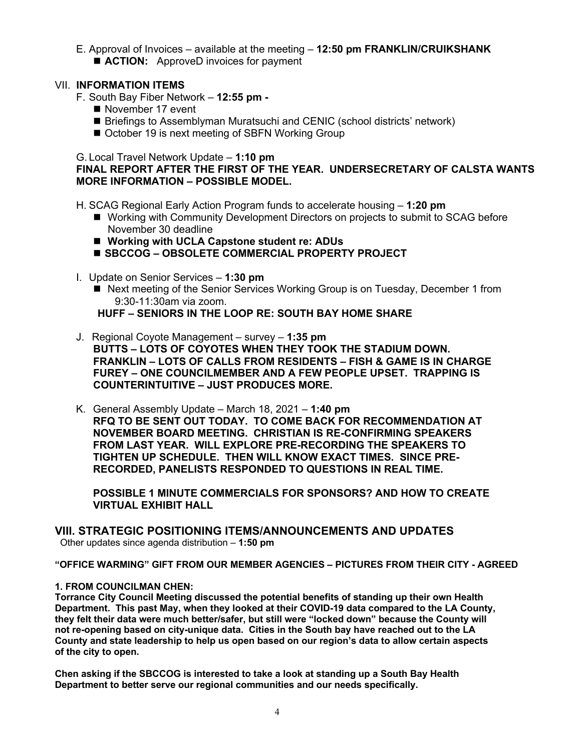E. Approval of Invoices – available at the meeting – **12:50 pm FRANKLIN/CRUIKSHANK E** ACTION: ApproveD invoices for payment

#### VII. **INFORMATION ITEMS**

- F. South Bay Fiber Network **12:55 pm -**
	- November 17 event
	- Briefings to Assemblyman Muratsuchi and CENIC (school districts' network)
	- October 19 is next meeting of SBFN Working Group

G. Local Travel Network Update – **1:10 pm**

## **FINAL REPORT AFTER THE FIRST OF THE YEAR. UNDERSECRETARY OF CALSTA WANTS MORE INFORMATION – POSSIBLE MODEL.**

H. SCAG Regional Early Action Program funds to accelerate housing – **1:20 pm**

- Working with Community Development Directors on projects to submit to SCAG before November 30 deadline
- Working with UCLA Capstone student re: ADUs
- **SBCCOG OBSOLETE COMMERCIAL PROPERTY PROJECT**
- I. Update on Senior Services **1:30 pm**
	- Next meeting of the Senior Services Working Group is on Tuesday, December 1 from 9:30-11:30am via zoom.

**HUFF – SENIORS IN THE LOOP RE: SOUTH BAY HOME SHARE**

- J. Regional Coyote Management survey **1:35 pm BUTTS – LOTS OF COYOTES WHEN THEY TOOK THE STADIUM DOWN. FRANKLIN – LOTS OF CALLS FROM RESIDENTS – FISH & GAME IS IN CHARGE FUREY – ONE COUNCILMEMBER AND A FEW PEOPLE UPSET. TRAPPING IS COUNTERINTUITIVE – JUST PRODUCES MORE.**
- K. General Assembly Update March 18, 2021 **1:40 pm RFQ TO BE SENT OUT TODAY. TO COME BACK FOR RECOMMENDATION AT NOVEMBER BOARD MEETING. CHRISTIAN IS RE-CONFIRMING SPEAKERS FROM LAST YEAR. WILL EXPLORE PRE-RECORDING THE SPEAKERS TO TIGHTEN UP SCHEDULE. THEN WILL KNOW EXACT TIMES. SINCE PRE-RECORDED, PANELISTS RESPONDED TO QUESTIONS IN REAL TIME.**

**POSSIBLE 1 MINUTE COMMERCIALS FOR SPONSORS? AND HOW TO CREATE VIRTUAL EXHIBIT HALL**

# **VIII. STRATEGIC POSITIONING ITEMS/ANNOUNCEMENTS AND UPDATES**

Other updates since agenda distribution – **1:50 pm**

**"OFFICE WARMING" GIFT FROM OUR MEMBER AGENCIES – PICTURES FROM THEIR CITY - AGREED**

#### **1. FROM COUNCILMAN CHEN:**

**Torrance City Council Meeting discussed the potential benefits of standing up their own Health Department. This past May, when they looked at their COVID-19 data compared to the LA County, they felt their data were much better/safer, but still were "locked down" because the County will not re-opening based on city-unique data. Cities in the South bay have reached out to the LA County and state leadership to help us open based on our region's data to allow certain aspects of the city to open.**

**Chen asking if the SBCCOG is interested to take a look at standing up a South Bay Health Department to better serve our regional communities and our needs specifically.**